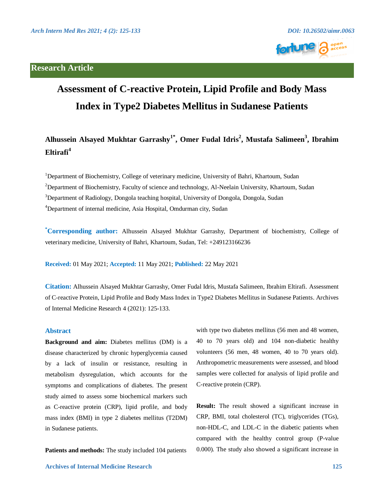

# **Assessment of C-reactive Protein, Lipid Profile and Body Mass Index in Type2 Diabetes Mellitus in Sudanese Patients**

**Alhussein Alsayed Mukhtar Garrashy1\*, Omer Fudal Idris2 , Mustafa Salimeen<sup>3</sup> , Ibrahim Eltirafi<sup>4</sup>**

<sup>1</sup>Department of Biochemistry, College of veterinary medicine, University of Bahri, Khartoum, Sudan <sup>2</sup>Department of Biochemistry, Faculty of science and technology, Al-Neelain University, Khartoum, Sudan <sup>3</sup>Department of Radiology, Dongola teaching hospital, University of Dongola, Dongola, Sudan 4 Department of internal medicine, Asia Hospital, Omdurman city, Sudan

**\* Corresponding author:** Alhussein Alsayed Mukhtar Garrashy, Department of biochemistry, College of veterinary medicine, University of Bahri, Khartoum, Sudan, Tel: +249123166236

**Received:** 01 May 2021; **Accepted:** 11 May 2021; **Published:** 22 May 2021

**Citation:** Alhussein Alsayed Mukhtar Garrashy, Omer Fudal Idris, Mustafa Salimeen, Ibrahim Eltirafi. Assessment of C-reactive Protein, Lipid Profile and Body Mass Index in Type2 Diabetes Mellitus in Sudanese Patients. Archives of Internal Medicine Research 4 (2021): 125-133.

# **Abstract**

**Background and aim:** Diabetes mellitus (DM) is a disease characterized by chronic hyperglycemia caused by a lack of insulin or resistance, resulting in metabolism dysregulation, which accounts for the symptoms and complications of diabetes. The present study aimed to assess some biochemical markers such as C-reactive protein (CRP), lipid profile, and body mass index (BMI) in type 2 diabetes mellitus (T2DM) in Sudanese patients.

**Patients and methods:** The study included 104 patients

 **Archives of Internal Medicine Research 125**

with type two diabetes mellitus (56 men and 48 women, 40 to 70 years old) and 104 non-diabetic healthy volunteers (56 men, 48 women, 40 to 70 years old). Anthropometric measurements were assessed, and blood samples were collected for analysis of lipid profile and C-reactive protein (CRP).

**Result:** The result showed a significant increase in CRP, BMI, total cholesterol (TC), triglycerides (TGs), non-HDL-C, and LDL-C in the diabetic patients when compared with the healthy control group (P-value 0.000). The study also showed a significant increase in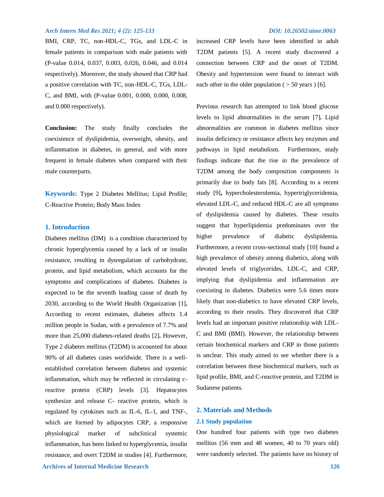BMI, CRP, TC, non-HDL-C, TGs, and LDL-C in female patients in comparison with male patients with (P-value 0.014, 0.037, 0.003, 0.026, 0.046, and 0.014 respectively). Moreover, the study showed that CRP had a positive correlation with TC, non-HDL-C, TGs, LDL-C, and BMI, with (P-value 0.001, 0.000, 0.000, 0.008, and 0.000 respectively).

**Conclusion:** The study finally concludes the coexistence of dyslipidemia, overweight, obesity, and inflammation in diabetes, in general, and with more frequent in female diabetes when compared with their male counterparts.

**Keywords:** Type 2 Diabetes Mellitus; Lipid Profile; C-Reactive Protein; Body Mass Index

# **1. Introduction**

Diabetes mellitus (DM) is a condition characterized by chronic hyperglycemia caused by a lack of or insulin resistance, resulting in dysregulation of carbohydrate, protein, and lipid metabolism, which accounts for the symptoms and complications of diabetes. Diabetes is expected to be the seventh leading cause of death by 2030, according to the World Health Organization [1]**.**  According to recent estimates, diabetes affects 1.4 million people in Sudan, with a prevalence of 7.7% and more than 25,000 diabetes-related deaths [2]**.** However, Type 2 diabetes mellitus (T2DM) is accounted for about 90% of all diabetes cases worldwide. There is a wellestablished correlation between diabetes and systemic inflammation, which may be reflected in circulating creactive protein (CRP) levels [3]. Hepatocytes synthesize and release C- reactive protein, which is regulated by cytokines such as IL-6, IL-1, and TNF-, which are formed by adipocytes CRP, a responsive physiological marker of subclinical systemic inflammation, has been linked to hyperglycemia, insulin resistance, and overt T2DM in studies [4]. Furthermore,

increased CRP levels have been identified in adult T2DM patients [5]. A recent study discovered a connection between CRP and the onset of T2DM. Obesity and hypertension were found to interact with each other in the older population  $($  > 50 years  $)$  [6].

Previous research has attempted to link blood glucose levels to lipid abnormalities in the serum [7]**.** Lipid abnormalities are common in diabetes mellitus since insulin deficiency or resistance affects key enzymes and pathways in lipid metabolism. Furthermore, study findings indicate that the rise in the prevalence of T2DM among the body composition components is primarily due to body fats [8]. According to a recent study [9]**,** hypercholesterolemia, hypertriglyceridemia, elevated LDL-C, and reduced HDL-C are all symptoms of dyslipidemia caused by diabetes. These results suggest that hyperlipidemia predominates over the higher prevalence of diabetic dyslipidemia. Furthermore, a recent cross-sectional study [10] found a high prevalence of obesity among diabetics, along with elevated levels of triglycerides, LDL-C, and CRP, implying that dyslipidemia and inflammation are coexisting in diabetes. Diabetics were 5.6 times more likely than non-diabetics to have elevated CRP levels, according to their results. They discovered that CRP levels had an important positive relationship with LDL-C and BMI (BMI). However, the relationship between certain biochemical markers and CRP in those patients is unclear. This study aimed to see whether there is a correlation between these biochemical markers, such as lipid profile, BMI, and C-reactive protein, and T2DM in Sudanese patients.

# **2. Materials and Methods**

# **2.1 Study population**

One hundred four patients with type two diabetes mellitus (56 men and 48 women, 40 to 70 years old) were randomly selected. The patients have no history of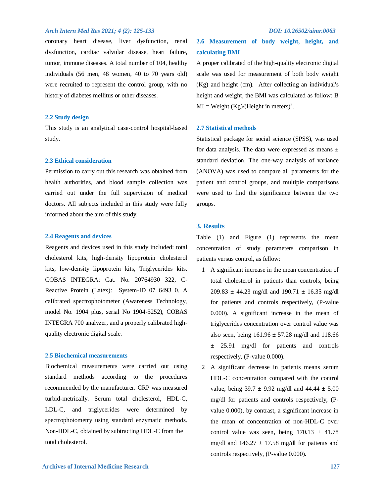coronary heart disease, liver dysfunction, renal dysfunction, cardiac valvular disease, heart failure, tumor, immune diseases. A total number of 104, healthy individuals (56 men, 48 women, 40 to 70 years old) were recruited to represent the control group, with no history of diabetes mellitus or other diseases.

# **2.2 Study design**

This study is an analytical case-control hospital-based study.

## **2.3 Ethical consideration**

Permission to carry out this research was obtained from health authorities, and blood sample collection was carried out under the full supervision of medical doctors. All subjects included in this study were fully informed about the aim of this study.

### **2.4 Reagents and devices**

Reagents and devices used in this study included: total cholesterol kits, high-density lipoprotein cholesterol kits, low-density lipoprotein kits, Triglycerides kits. COBAS INTEGRA: Cat. No. 20764930 322, C-Reactive Protein (Latex): System-ID 07 6493 0. A calibrated spectrophotometer (Awareness Technology, model No. 1904 plus, serial No 1904-5252), COBAS INTEGRA 700 analyzer, and a properly calibrated highquality electronic digital scale.

# **2.5 Biochemical measurements**

Biochemical measurements were carried out using standard methods according to the procedures recommended by the manufacturer. CRP was measured turbid-metrically. Serum total cholesterol, HDL-C, LDL-C, and triglycerides were determined by spectrophotometry using standard enzymatic methods. Non-HDL-C, obtained by subtracting HDL-C from the total cholesterol.

# **2.6 Measurement of body weight, height, and calculating BMI**

A proper calibrated of the high-quality electronic digital scale was used for measurement of both body weight (Kg) and height (cm). After collecting an individual's height and weight, the BMI was calculated as follow: B  $MI = Weight (Kg)/(Height in meters)^2$ .

# **2.7 Statistical methods**

Statistical package for social science (SPSS), was used for data analysis. The data were expressed as means  $\pm$ standard deviation. The one-way analysis of variance (ANOVA) was used to compare all parameters for the patient and control groups, and multiple comparisons were used to find the significance between the two groups.

# **3. Results**

Table (1) and Figure (1) represents the mean concentration of study parameters comparison in patients versus control, as fellow:

- 1 A significant increase in the mean concentration of total cholesterol in patients than controls, being  $209.83 \pm 44.23$  mg/dl and  $190.71 \pm 16.35$  mg/dl for patients and controls respectively, (P-value 0.000). A significant increase in the mean of triglycerides concentration over control value was also seen, being  $161.96 \pm 57.28$  mg/dl and 118.66 ± 25.91 mg/dl for patients and controls respectively, (P-value 0.000).
- 2 A significant decrease in patients means serum HDL-C concentration compared with the control value, being  $39.7 \pm 9.92$  mg/dl and  $44.44 \pm 5.00$ mg/dl for patients and controls respectively, (Pvalue 0.000), by contrast, a significant increase in the mean of concentration of non-HDL-C over control value was seen, being  $170.13 \pm 41.78$ mg/dl and  $146.27 \pm 17.58$  mg/dl for patients and controls respectively, (P-value 0.000).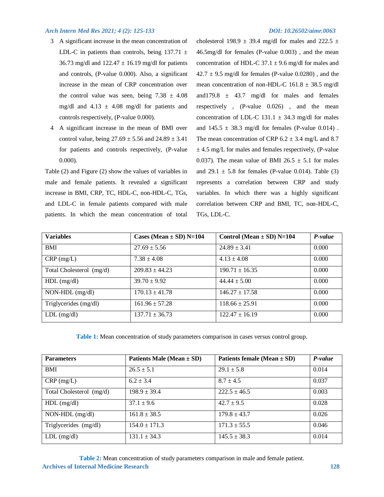- 3 A significant increase in the mean concentration of LDL-C in patients than controls, being  $137.71 \pm$ 36.73 mg/dl and  $122.47 \pm 16.19$  mg/dl for patients and controls, (P-value 0.000). Also, a significant increase in the mean of CRP concentration over the control value was seen, being  $7.38 \pm 4.08$ mg/dl and  $4.13 \pm 4.08$  mg/dl for patients and controls respectively, (P-value 0.000).
- 4 A significant increase in the mean of BMI over control value, being  $27.69 \pm 5.56$  and  $24.89 \pm 3.41$ for patients and controls respectively, (P-value 0.000).

Table (2) and Figure (2) show the values of variables in male and female patients. It revealed a significant increase in BMI, CRP, TC, HDL-C, non-HDL-C, TGs, and LDL-C in female patients compared with male patients. In which the mean concentration of total

cholesterol 198.9  $\pm$  39.4 mg/dl for males and 222.5  $\pm$ 46.5mg/dl for females (P-value 0.003) , and the mean concentration of HDL-C 37.1  $\pm$  9.6 mg/dl for males and  $42.7 \pm 9.5$  mg/dl for females (P-value 0.0280), and the mean concentration of non-HDL-C  $161.8 \pm 38.5$  mg/dl and 179.8  $\pm$  43.7 mg/dl for males and females respectively , (P-value 0.026) , and the mean concentration of LDL-C 131.1  $\pm$  34.3 mg/dl for males and  $145.5 \pm 38.3$  mg/dl for females (P-value 0.014). The mean concentration of CRP  $6.2 \pm 3.4$  mg/L and 8.7  $\pm$  4.5 mg/L for males and females respectively, (P-value 0.037). The mean value of BMI 26.5  $\pm$  5.1 for males and  $29.1 \pm 5.8$  for females (P-value 0.014). Table (3) represents a correlation between CRP and study variables. In which there was a highly significant correlation between CRP and BMI, TC, non-HDL-C, TGs, LDL-C.

| <b>Variables</b>         | Cases (Mean $\pm$ SD) N=104 | Control (Mean $\pm$ SD) N=104 | P-value |
|--------------------------|-----------------------------|-------------------------------|---------|
| <b>BMI</b>               | $27.69 \pm 5.56$            | $24.89 \pm 3.41$              | 0.000   |
| $CRP$ (mg/L)             | $7.38 \pm 4.08$             | $4.13 \pm 4.08$               | 0.000   |
| Total Cholesterol (mg/d) | $209.83 + 44.23$            | $190.71 \pm 16.35$            | 0.000   |
| $HDL$ (mg/dl)            | $39.70 \pm 9.92$            | $44.44 \pm 5.00$              | 0.000   |
| $NON-HDL$ (mg/dl)        | $170.13 \pm 41.78$          | $146.27 \pm 17.58$            | 0.000   |
| Triglycerides (mg/dl)    | $161.96 \pm 57.28$          | $118.66 \pm 25.91$            | 0.000   |
| $LDL$ (mg/dl)            | $137.71 \pm 36.73$          | $122.47 \pm 16.19$            | 0.000   |

**Table 1:** Mean concentration of study parameters comparison in cases versus control group.

| <b>Parameters</b>        | Patients Male (Mean $\pm$ SD) | Patients female (Mean $\pm$ SD) | P-value |
|--------------------------|-------------------------------|---------------------------------|---------|
| <b>BMI</b>               | $26.5 \pm 5.1$                | $29.1 \pm 5.8$                  | 0.014   |
| $CRP$ (mg/L)             | $6.2 \pm 3.4$                 | $8.7 \pm 4.5$                   | 0.037   |
| Total Cholesterol (mg/d) | $198.9 \pm 39.4$              | $222.5 \pm 46.5$                | 0.003   |
| $HDL$ (mg/dl)            | $37.1 \pm 9.6$                | $42.7 \pm 9.5$                  | 0.028   |
| $NON-HDL$ (mg/dl)        | $161.8 \pm 38.5$              | $179.8 \pm 43.7$                | 0.026   |
| Triglycerides (mg/dl)    | $154.0 \pm 171.3$             | $171.3 \pm 55.5$                | 0.046   |
| $LDL$ (mg/dl)            | $131.1 \pm 34.3$              | $145.5 \pm 38.3$                | 0.014   |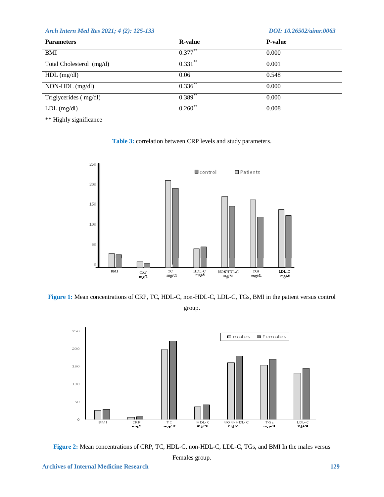|              | <b>P-value</b> |
|--------------|----------------|
| $0.377***$   | 0.000          |
| $0.331***$   | 0.001          |
| 0.06         | 0.548          |
| $0.336^{**}$ | 0.000          |
| $0.389$ **   | 0.000          |
| 0.260        | 0.008          |
|              |                |

\*\* Highly significance





**Figure 1:** Mean concentrations of CRP, TC, HDL-C, non-HDL-C, LDL-C, TGs, BMI in the patient versus control group.





Females group.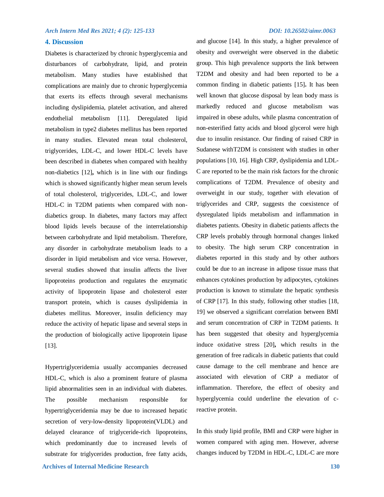and glucose [14]. In this study, a higher prevalence of

# **4. Discussion**

Diabetes is characterized by chronic hyperglycemia and disturbances of carbohydrate, lipid, and protein metabolism. Many studies have established that complications are mainly due to chronic hyperglycemia that exerts its effects through several mechanisms including dyslipidemia, platelet activation, and altered endothelial metabolism [11]. Deregulated lipid metabolism in type2 diabetes mellitus has been reported in many studies. Elevated mean total cholesterol, triglycerides, LDL-C, and lower HDL-C levels have been described in diabetes when compared with healthy non-diabetics [12]**,** which is in line with our findings which is showed significantly higher mean serum levels of total cholesterol, triglycerides, LDL-C, and lower HDL-C in T2DM patients when compared with nondiabetics group. In diabetes, many factors may affect blood lipids levels because of the interrelationship between carbohydrate and lipid metabolism. Therefore, any disorder in carbohydrate metabolism leads to a disorder in lipid metabolism and vice versa. However, several studies showed that insulin affects the liver lipoproteins production and regulates the enzymatic activity of lipoprotein lipase and cholesterol ester transport protein, which is causes dyslipidemia in diabetes mellitus. Moreover, insulin deficiency may reduce the activity of hepatic lipase and several steps in the production of biologically active lipoprotein lipase [13].

Hypertriglyceridemia usually accompanies decreased HDL-C, which is also a prominent feature of plasma lipid abnormalities seen in an individual with diabetes. The possible mechanism responsible for hypertriglyceridemia may be due to increased hepatic secretion of very-low-density lipoprotein(VLDL) and delayed clearance of triglyceride-rich lipoproteins, which predominantly due to increased levels of substrate for triglycerides production, free fatty acids, obesity and overweight were observed in the diabetic group. This high prevalence supports the link between T2DM and obesity and had been reported to be a common finding in diabetic patients [15]**.** It has been well known that glucose disposal by lean body mass is markedly reduced and glucose metabolism was impaired in obese adults, while plasma concentration of non-esterified fatty acids and blood glycerol were high due to insulin resistance. Our finding of raised CRP in Sudanese withT2DM is consistent with studies in other populations [10, 16]. High CRP, dyslipidemia and LDL-C are reported to be the main risk factors for the chronic complications of T2DM. Prevalence of obesity and overweight in our study, together with elevation of triglycerides and CRP, suggests the coexistence of dysregulated lipids metabolism and inflammation in diabetes patients. Obesity in diabetic patients affects the CRP levels probably through hormonal changes linked to obesity. The high serum CRP concentration in diabetes reported in this study and by other authors could be due to an increase in adipose tissue mass that enhances cytokines production by adipocytes, cytokines production is known to stimulate the hepatic synthesis of CRP [17]. In this study, following other studies [18, 19] we observed a significant correlation between BMI and serum concentration of CRP in T2DM patients. It has been suggested that obesity and hyperglycemia induce oxidative stress [20]**,** which results in the generation of free radicals in diabetic patients that could cause damage to the cell membrane and hence are associated with elevation of CRP a mediator of inflammation. Therefore, the effect of obesity and hyperglycemia could underline the elevation of creactive protein.

In this study lipid profile, BMI and CRP were higher in women compared with aging men. However, adverse changes induced by T2DM in HDL-C, LDL-C are more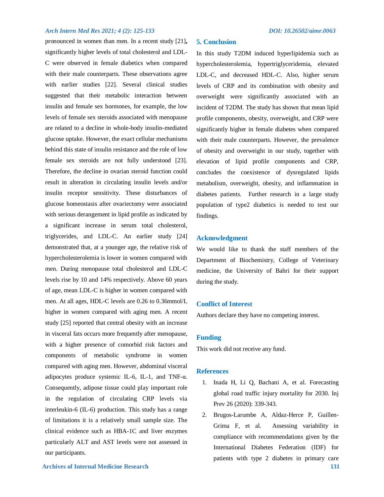pronounced in women than men. In a recent study [21]**,** significantly higher levels of total cholesterol and LDL-C were observed in female diabetics when compared with their male counterparts. These observations agree with earlier studies [22]. Several clinical studies suggested that their metabolic interaction between insulin and female sex hormones, for example, the low levels of female sex steroids associated with menopause are related to a decline in whole-body insulin-mediated glucose uptake. However, the exact cellular mechanisms behind this state of insulin resistance and the role of low female sex steroids are not fully understood [23]. Therefore, the decline in ovarian steroid function could result in alteration in circulating insulin levels and/or insulin receptor sensitivity. These disturbances of glucose homeostasis after ovariectomy were associated with serious derangement in lipid profile as indicated by a significant increase in serum total cholesterol, triglycerides, and LDL-C. An earlier study [24] demonstrated that, at a younger age, the relative risk of hypercholesterolemia is lower in women compared with men. During menopause total cholesterol and LDL-C levels rise by 10 and 14% respectively. Above 60 years of age, mean LDL-C is higher in women compared with men. At all ages, HDL-C levels are 0.26 to 0.36mmol/L higher in women compared with aging men. A recent study [25] reported that central obesity with an increase in visceral fats occurs more frequently after menopause, with a higher presence of comorbid risk factors and components of metabolic syndrome in women compared with aging men. However, abdominal visceral adipocytes produce systemic IL-6, IL-1, and TNF- $\alpha$ . Consequently, adipose tissue could play important role in the regulation of circulating CRP levels via interleukin-6 (IL-6) production. This study has a range of limitations it is a relatively small sample size. The clinical evidence such as HBA-1C and liver enzymes particularly ALT and AST levels were not assessed in our participants.

# **5. Conclusion**

In this study T2DM induced hyperlipidemia such as hypercholesterolemia, hypertriglyceridemia, elevated LDL-C, and decreased HDL-C. Also, higher serum levels of CRP and its combination with obesity and overweight were significantly associated with an incident of T2DM. The study has shown that mean lipid profile components, obesity, overweight, and CRP were significantly higher in female diabetes when compared with their male counterparts. However, the prevalence of obesity and overweight in our study, together with elevation of lipid profile components and CRP, concludes the coexistence of dysregulated lipids metabolism, overweight, obesity, and inflammation in diabetes patients. Further research in a large study population of type2 diabetics is needed to test our findings.

# **Acknowledgment**

We would like to thank the staff members of the Department of Biochemistry, College of Veterinary medicine, the University of Bahri for their support during the study.

# **Conflict of Interest**

Authors declare they have no competing interest.

# **Funding**

This work did not receive any fund.

## **References**

- 1. Inada H, Li Q, Bachani A, et al. Forecasting global road traffic injury mortality for 2030. Inj Prev 26 (2020): 339-343.
- 2. Brugos-Larumbe A, Aldaz-Herce P, Guillen-Grima F, et al. Assessing variability in compliance with recommendations given by the International Diabetes Federation (IDF) for patients with type 2 diabetes in primary care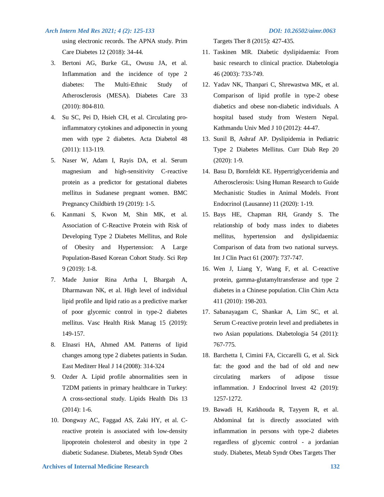using electronic records. The APNA study. Prim Care Diabetes 12 (2018): 34-44.

- 3. Bertoni AG, Burke GL, Owusu JA, et al. Inflammation and the incidence of type 2 diabetes: The Multi-Ethnic Study of Atherosclerosis (MESA). Diabetes Care 33 (2010): 804-810.
- 4. Su SC, Pei D, Hsieh CH, et al. Circulating proinflammatory cytokines and adiponectin in young men with type 2 diabetes. Acta Diabetol 48 (2011): 113-119.
- 5. Naser W, Adam I, Rayis DA, et al. Serum magnesium and high-sensitivity C-reactive protein as a predictor for gestational diabetes mellitus in Sudanese pregnant women. BMC Pregnancy Childbirth 19 (2019): 1-5.
- 6. Kanmani S, Kwon M, Shin MK, et al. Association of C-Reactive Protein with Risk of Developing Type 2 Diabetes Mellitus, and Role of Obesity and Hypertension: A Large Population-Based Korean Cohort Study. Sci Rep 9 (2019): 1-8.
- 7. Made Junior Rina Artha I, Bhargah A, Dharmawan NK, et al. High level of individual lipid profile and lipid ratio as a predictive marker of poor glycemic control in type-2 diabetes mellitus. Vasc Health Risk Manag 15 (2019): 149-157.
- 8. Elnasri HA, Ahmed AM. Patterns of lipid changes among type 2 diabetes patients in Sudan. East Mediterr Heal J 14 (2008): 314-324
- 9. Ozder A. Lipid profile abnormalities seen in T2DM patients in primary healthcare in Turkey: A cross-sectional study. Lipids Health Dis 13 (2014): 1-6.
- 10. Dongway AC, Faggad AS, Zaki HY, et al. Creactive protein is associated with low-density lipoprotein cholesterol and obesity in type 2 diabetic Sudanese. Diabetes, Metab Syndr Obes

Targets Ther 8 (2015): 427-435.

- 11. Taskinen MR. Diabetic dyslipidaemia: From basic research to clinical practice. Diabetologia 46 (2003): 733-749.
- 12. Yadav NK, Thanpari C, Shrewastwa MK, et al. Comparison of lipid profile in type-2 obese diabetics and obese non-diabetic individuals. A hospital based study from Western Nepal. Kathmandu Univ Med J 10 (2012): 44-47.
- 13. Sunil B, Ashraf AP. Dyslipidemia in Pediatric Type 2 Diabetes Mellitus. Curr Diab Rep 20 (2020): 1-9.
- 14. Basu D, Bornfeldt KE. Hypertriglyceridemia and Atherosclerosis: Using Human Research to Guide Mechanistic Studies in Animal Models. Front Endocrinol (Lausanne) 11 (2020): 1-19.
- 15. Bays HE, Chapman RH, Grandy S. The relationship of body mass index to diabetes mellitus, hypertension and dyslipidaemia: Comparison of data from two national surveys. Int J Clin Pract 61 (2007): 737-747.
- 16. Wen J, Liang Y, Wang F, et al. C-reactive protein, gamma-glutamyltransferase and type 2 diabetes in a Chinese population. Clin Chim Acta 411 (2010): 198-203.
- 17. Sabanayagam C, Shankar A, Lim SC, et al. Serum C-reactive protein level and prediabetes in two Asian populations. Diabetologia 54 (2011): 767-775.
- 18. Barchetta I, Cimini FA, Ciccarelli G, et al. Sick fat: the good and the bad of old and new circulating markers of adipose tissue inflammation. J Endocrinol Invest 42 (2019): 1257-1272.
- 19. Bawadi H, Katkhouda R, Tayyem R, et al. Abdominal fat is directly associated with inflammation in persons with type-2 diabetes regardless of glycemic control - a jordanian study. Diabetes, Metab Syndr Obes Targets Ther